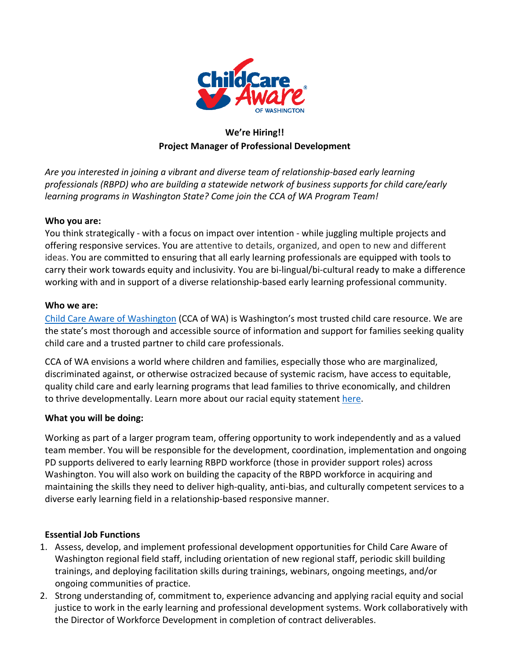

## **We're Hiring!! Project Manager of Professional Development**

*Are you interested in joining a vibrant and diverse team of relationship‐based early learning professionals (RBPD) who are building a statewide network of business supports for child care/early learning programs in Washington State? Come join the CCA of WA Program Team!*

#### **Who you are:**

You think strategically - with a focus on impact over intention - while juggling multiple projects and offering responsive services. You are attentive to details, organized, and open to new and different ideas. You are committed to ensuring that all early learning professionals are equipped with tools to carry their work towards equity and inclusivity. You are bi‐lingual/bi‐cultural ready to make a difference working with and in support of a diverse relationship-based early learning professional community.

#### **Who we are:**

Child Care Aware of Washington (CCA of WA) is Washington's most trusted child care resource. We are the state's most thorough and accessible source of information and support for families seeking quality child care and a trusted partner to child care professionals.

CCA of WA envisions a world where children and families, especially those who are marginalized, discriminated against, or otherwise ostracized because of systemic racism, have access to equitable, quality child care and early learning programs that lead families to thrive economically, and children to thrive developmentally. Learn more about our racial equity statement here.

#### **What you will be doing:**

Working as part of a larger program team, offering opportunity to work independently and as a valued team member. You will be responsible for the development, coordination, implementation and ongoing PD supports delivered to early learning RBPD workforce (those in provider support roles) across Washington. You will also work on building the capacity of the RBPD workforce in acquiring and maintaining the skills they need to deliver high-quality, anti-bias, and culturally competent services to a diverse early learning field in a relationship‐based responsive manner.

#### **Essential Job Functions**

- 1. Assess, develop, and implement professional development opportunities for Child Care Aware of Washington regional field staff, including orientation of new regional staff, periodic skill building trainings, and deploying facilitation skills during trainings, webinars, ongoing meetings, and/or ongoing communities of practice.
- 2. Strong understanding of, commitment to, experience advancing and applying racial equity and social justice to work in the early learning and professional development systems. Work collaboratively with the Director of Workforce Development in completion of contract deliverables.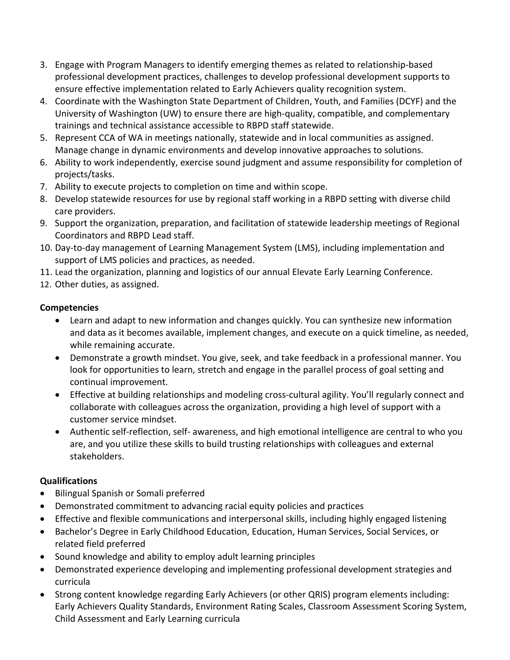- 3. Engage with Program Managers to identify emerging themes as related to relationship‐based professional development practices, challenges to develop professional development supports to ensure effective implementation related to Early Achievers quality recognition system.
- 4. Coordinate with the Washington State Department of Children, Youth, and Families (DCYF) and the University of Washington (UW) to ensure there are high‐quality, compatible, and complementary trainings and technical assistance accessible to RBPD staff statewide.
- 5. Represent CCA of WA in meetings nationally, statewide and in local communities as assigned. Manage change in dynamic environments and develop innovative approaches to solutions.
- 6. Ability to work independently, exercise sound judgment and assume responsibility for completion of projects/tasks.
- 7. Ability to execute projects to completion on time and within scope.
- 8. Develop statewide resources for use by regional staff working in a RBPD setting with diverse child care providers.
- 9. Support the organization, preparation, and facilitation of statewide leadership meetings of Regional Coordinators and RBPD Lead staff.
- 10. Day-to-day management of Learning Management System (LMS), including implementation and support of LMS policies and practices, as needed.
- 11. Lead the organization, planning and logistics of our annual Elevate Early Learning Conference.
- 12. Other duties, as assigned.

### **Competencies**

- Learn and adapt to new information and changes quickly. You can synthesize new information and data as it becomes available, implement changes, and execute on a quick timeline, as needed, while remaining accurate.
- Demonstrate a growth mindset. You give, seek, and take feedback in a professional manner. You look for opportunities to learn, stretch and engage in the parallel process of goal setting and continual improvement.
- Effective at building relationships and modeling cross-cultural agility. You'll regularly connect and collaborate with colleagues across the organization, providing a high level of support with a customer service mindset.
- Authentic self-reflection, self- awareness, and high emotional intelligence are central to who you are, and you utilize these skills to build trusting relationships with colleagues and external stakeholders.

#### **Qualifications**

- Bilingual Spanish or Somali preferred
- Demonstrated commitment to advancing racial equity policies and practices
- Effective and flexible communications and interpersonal skills, including highly engaged listening
- Bachelor's Degree in Early Childhood Education, Education, Human Services, Social Services, or related field preferred
- Sound knowledge and ability to employ adult learning principles
- Demonstrated experience developing and implementing professional development strategies and curricula
- Strong content knowledge regarding Early Achievers (or other QRIS) program elements including: Early Achievers Quality Standards, Environment Rating Scales, Classroom Assessment Scoring System, Child Assessment and Early Learning curricula